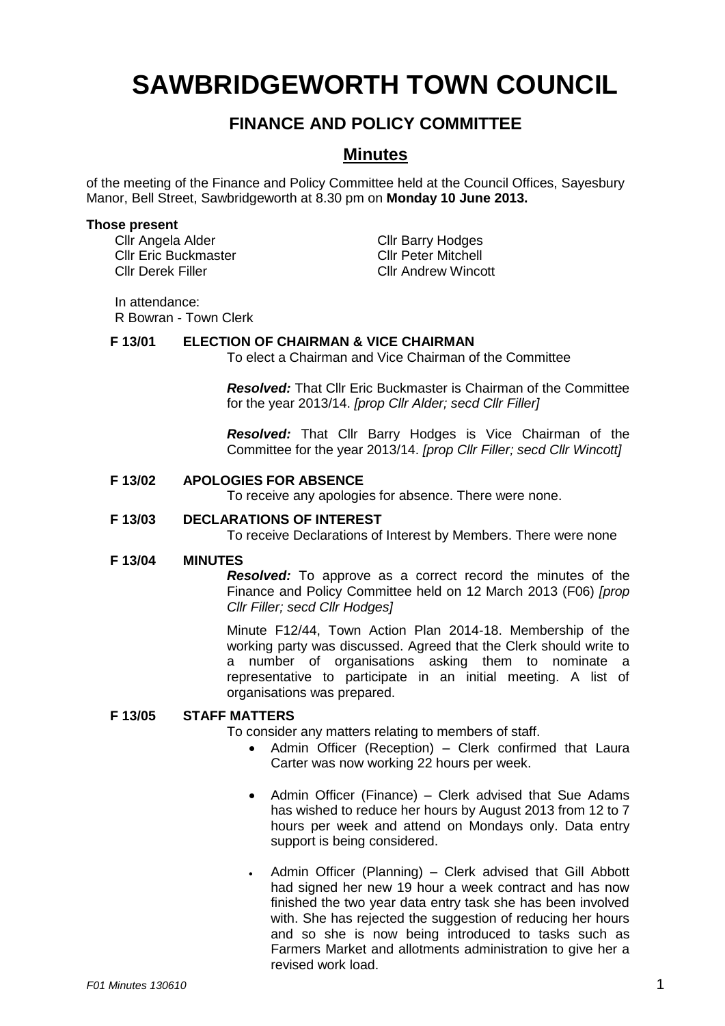# **SAWBRIDGEWORTH TOWN COUNCIL**

# **FINANCE AND POLICY COMMITTEE**

# **Minutes**

of the meeting of the Finance and Policy Committee held at the Council Offices, Sayesbury Manor, Bell Street, Sawbridgeworth at 8.30 pm on **Monday 10 June 2013.**

#### **Those present**

Cllr Angela Alder Cllr Barry Hodges<br>Cllr Eric Buckmaster Cllr Cllr Peter Mitchell Cllr Eric Buckmaster Cllr Derek Filler Cllr Andrew Wincott

In attendance:

R Bowran - Town Clerk

# **F 13/01 ELECTION OF CHAIRMAN & VICE CHAIRMAN**

To elect a Chairman and Vice Chairman of the Committee

*Resolved:* That Cllr Eric Buckmaster is Chairman of the Committee for the year 2013/14. *[prop Cllr Alder; secd Cllr Filler]*

*Resolved:* That Cllr Barry Hodges is Vice Chairman of the Committee for the year 2013/14. *[prop Cllr Filler; secd Cllr Wincott]*

#### **F 13/02 APOLOGIES FOR ABSENCE**

To receive any apologies for absence. There were none.

## **F 13/03 DECLARATIONS OF INTEREST**

To receive Declarations of Interest by Members. There were none

#### **F 13/04 MINUTES**

*Resolved:* To approve as a correct record the minutes of the Finance and Policy Committee held on 12 March 2013 (F06) *[prop Cllr Filler; secd Cllr Hodges]*

Minute F12/44, Town Action Plan 2014-18. Membership of the working party was discussed. Agreed that the Clerk should write to a number of organisations asking them to nominate a representative to participate in an initial meeting. A list of organisations was prepared.

## **F 13/05 STAFF MATTERS**

To consider any matters relating to members of staff.

- Admin Officer (Reception) Clerk confirmed that Laura Carter was now working 22 hours per week.
- Admin Officer (Finance) Clerk advised that Sue Adams has wished to reduce her hours by August 2013 from 12 to 7 hours per week and attend on Mondays only. Data entry support is being considered.
- Admin Officer (Planning) Clerk advised that Gill Abbott had signed her new 19 hour a week contract and has now finished the two year data entry task she has been involved with. She has rejected the suggestion of reducing her hours and so she is now being introduced to tasks such as Farmers Market and allotments administration to give her a revised work load.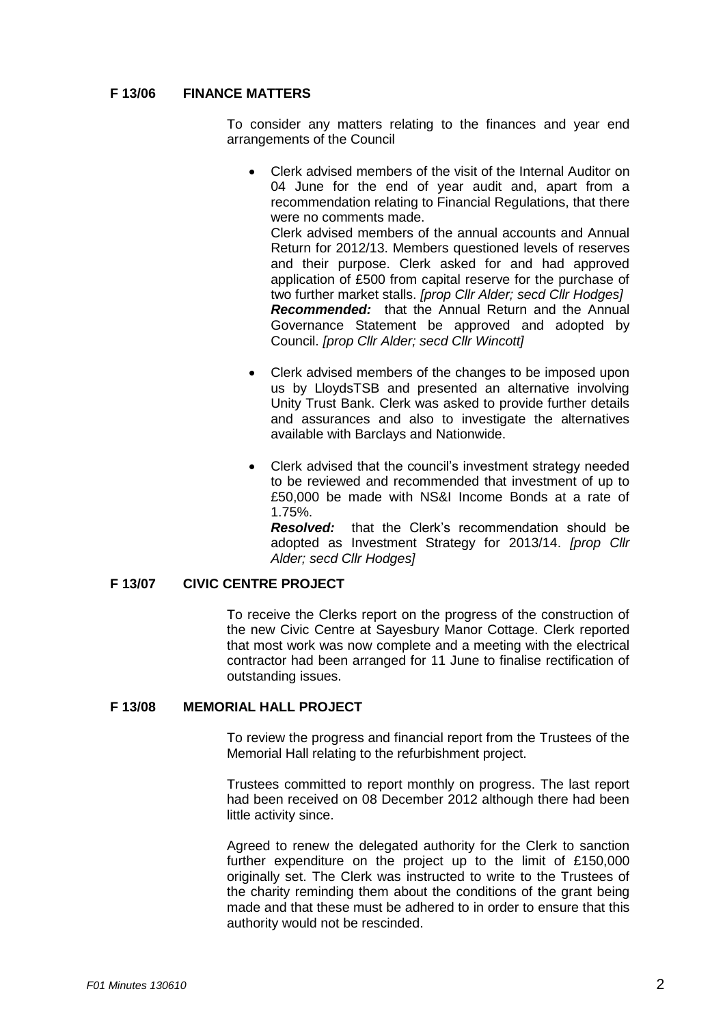#### **F 13/06 FINANCE MATTERS**

To consider any matters relating to the finances and year end arrangements of the Council

 Clerk advised members of the visit of the Internal Auditor on 04 June for the end of year audit and, apart from a recommendation relating to Financial Regulations, that there were no comments made. Clerk advised members of the annual accounts and Annual Return for 2012/13. Members questioned levels of reserves

and their purpose. Clerk asked for and had approved application of £500 from capital reserve for the purchase of two further market stalls. *[prop Cllr Alder; secd Cllr Hodges] Recommended:* that the Annual Return and the Annual Governance Statement be approved and adopted by Council. *[prop Cllr Alder; secd Cllr Wincott]*

- Clerk advised members of the changes to be imposed upon us by LloydsTSB and presented an alternative involving Unity Trust Bank. Clerk was asked to provide further details and assurances and also to investigate the alternatives available with Barclays and Nationwide.
- Clerk advised that the council's investment strategy needed to be reviewed and recommended that investment of up to £50,000 be made with NS&I Income Bonds at a rate of 1.75%.

*Resolved:* that the Clerk's recommendation should be adopted as Investment Strategy for 2013/14. *[prop Cllr Alder; secd Cllr Hodges]*

# **F 13/07 CIVIC CENTRE PROJECT**

To receive the Clerks report on the progress of the construction of the new Civic Centre at Sayesbury Manor Cottage. Clerk reported that most work was now complete and a meeting with the electrical contractor had been arranged for 11 June to finalise rectification of outstanding issues.

#### **F 13/08 MEMORIAL HALL PROJECT**

To review the progress and financial report from the Trustees of the Memorial Hall relating to the refurbishment project.

Trustees committed to report monthly on progress. The last report had been received on 08 December 2012 although there had been little activity since.

Agreed to renew the delegated authority for the Clerk to sanction further expenditure on the project up to the limit of £150,000 originally set. The Clerk was instructed to write to the Trustees of the charity reminding them about the conditions of the grant being made and that these must be adhered to in order to ensure that this authority would not be rescinded.